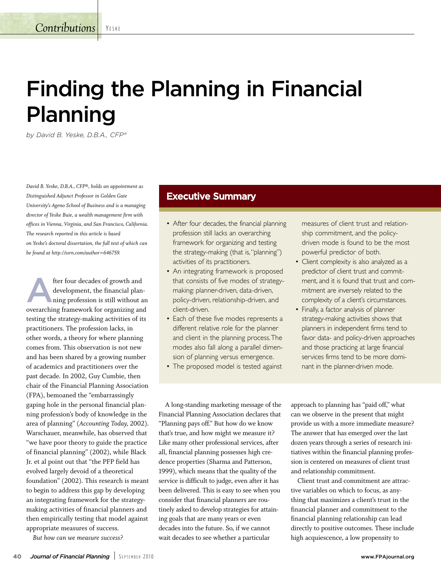**Contributions** YESKE

# **Finding the Planning in Financial Planning**

*by David B. Yeske, D.B.A., CFP®*

*David B. Yeske, D.B.A., CFP®, holds an appointment as Distinguished Adjunct Professor in Golden Gate University's Ageno School of Business and is a managing director of Yeske Buie, a wealth management firm with offices in Vienna, Virginia, and San Francisco, California. The research reported in this article is based on Yeske's doctoral dissertation, the full text of which can be found at http://ssrn.com/author=646759.*

fter four decades of growth and development, the financial planning profession is still without an overarching framework for organizing and testing the strategy-making activities of its practitioners. The profession lacks, in other words, a theory for where planning comes from. This observation is not new and has been shared by a growing number of academics and practitioners over the past decade. In 2002, Guy Cumbie, then chair of the Financial Planning Association (FPA), bemoaned the "embarrassingly gaping hole in the personal financial planning profession's body of knowledge in the area of planning" (*Accounting Today,* 2002). Warschauer, meanwhile, has observed that "we have poor theory to guide the practice of financial planning" (2002), while Black Jr. et al point out that "the PFP field has evolved largely devoid of a theoretical foundation" (2002). This research is meant to begin to address this gap by developing an integrating framework for the strategymaking activities of financial planners and then empirically testing that model against appropriate measures of success.

*But how can we measure success?*

## **Executive Summary**

- After four decades, the financial planning profession still lacks an overarching framework for organizing and testing the strategy-making (that is,"planning") activities of its practitioners.
- An integrating framework is proposed that consists of five modes of strategymaking: planner-driven, data-driven, policy-driven, relationship-driven, and client-driven.
- Each of these five modes represents a different relative role for the planner and client in the planning process.The modes also fall along a parallel dimension of planning versus emergence.
- The proposed model is tested against

measures of client trust and relationship commitment, and the policydriven mode is found to be the most powerful predictor of both.

- Client complexity is also analyzed as a predictor of client trust and commitment, and it is found that trust and commitment are inversely related to the complexity of a client's circumstances.
- Finally, a factor analysis of planner strategy-making activities shows that planners in independent firms tend to favor data- and policy-driven approaches and those practicing at large financial services firms tend to be more dominant in the planner-driven mode.

A long-standing marketing message of the Financial Planning Association declares that "Planning pays off." But how do we know that's true, and how might we measure it? Like many other professional services, after all, financial planning possesses high credence properties (Sharma and Patterson, 1999), which means that the quality of the service is difficult to judge, even after it has been delivered. This is easy to see when you consider that financial planners are routinely asked to develop strategies for attaining goals that are many years or even decades into the future. So, if we cannot wait decades to see whether a particular

approach to planning has "paid off," what can we observe in the present that might provide us with a more immediate measure? The answer that has emerged over the last dozen years through a series of research initiatives within the financial planning profession is centered on measures of client trust and relationship commitment.

Client trust and commitment are attractive variables on which to focus, as anything that maximizes a client's trust in the financial planner and commitment to the financial planning relationship can lead directly to positive outcomes. These include high acquiescence, a low propensity to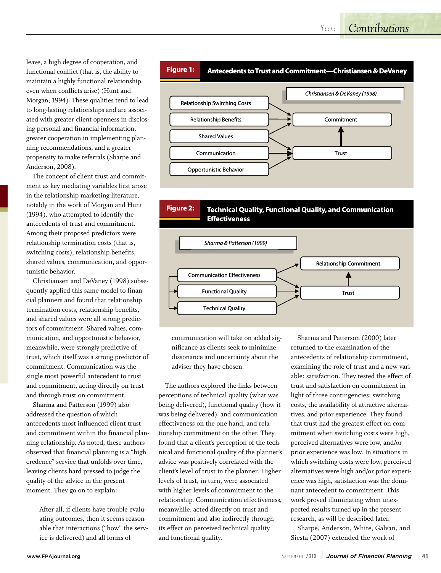## *Contributions*

leave, a high degree of cooperation, and functional conflict (that is, the ability to maintain a highly functional relationship even when conflicts arise) (Hunt and Morgan, 1994). These qualities tend to lead to long-lasting relationships and are associated with greater client openness in disclosing personal and financial information, greater cooperation in implementing planning recommendations, and a greater propensity to make referrals (Sharpe and Anderson, 2008).

The concept of client trust and commitment as key mediating variables first arose in the relationship marketing literature, notably in the work of Morgan and Hunt (1994), who attempted to identify the antecedents of trust and commitment. Among their proposed predictors were relationship termination costs (that is, switching costs), relationship benefits, shared values, communication, and opportunistic behavior.

Christiansen and DeVaney (1998) subsequently applied this same model to financial planners and found that relationship termination costs, relationship benefits, and shared values were all strong predictors of commitment. Shared values, communication, and opportunistic behavior, meanwhile, were strongly predictive of trust, which itself was a strong predictor of commitment. Communication was the single most powerful antecedent to trust and commitment, acting directly on trust and through trust on commitment.

Sharma and Patterson (1999) also addressed the question of which antecedents most influenced client trust and commitment within the financial planning relationship. As noted, these authors observed that financial planning is a "high credence" service that unfolds over time, leaving clients hard pressed to judge the quality of the advice in the present moment. They go on to explain:

> After all, if clients have trouble evaluating outcomes, then it seems reasonable that interactions ("how" the service is delivered) and all forms of



**Figure 2:** 

**Figure 2:** Technical Quality, Functional Quality, and Communication **Effectiveness eness Effectiv**



communication will take on added significance as clients seek to minimize dissonance and uncertainty about the adviser they have chosen.

The authors explored the links between perceptions of technical quality (what was being delivered), functional quality (how it was being delivered), and communication effectiveness on the one hand, and relationship commitment on the other. They found that a client's perception of the technical and functional quality of the planner's advice was positively correlated with the client's level of trust in the planner. Higher levels of trust, in turn, were associated with higher levels of commitment to the relationship. Communication effectiveness, meanwhile, acted directly on trust and commitment and also indirectly through its effect on perceived technical quality and functional quality.

Sharma and Patterson (2000) later returned to the examination of the antecedents of relationship commitment, examining the role of trust and a new variable: satisfaction. They tested the effect of trust and satisfaction on commitment in light of three contingencies: switching costs, the availability of attractive alternatives, and prior experience. They found that trust had the greatest effect on commitment when switching costs were high, perceived alternatives were low, and/or prior experience was low. In situations in which switching costs were low, perceived alternatives were high and/or prior experience was high, satisfaction was the dominant antecedent to commitment. This work proved illuminating when unexpected results turned up in the present research, as will be described later.

Sharpe, Anderson, White, Galvan, and Siesta (2007) extended the work of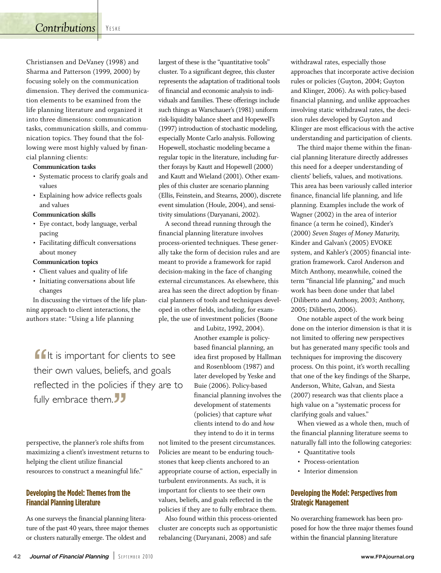Christiansen and DeVaney (1998) and Sharma and Patterson (1999, 2000) by focusing solely on the communication dimension. They derived the communication elements to be examined from the life planning literature and organized it into three dimensions: communication tasks, communication skills, and communication topics. They found that the following were most highly valued by financial planning clients:

#### **Communication tasks**

- Systematic process to clarify goals and values
- Explaining how advice reflects goals and values

#### **Communication skills**

- Eye contact, body language, verbal pacing
- Facilitating difficult conversations about money

#### **Communication topics**

- Client values and quality of life
- Initiating conversations about life changes

In discussing the virtues of the life planning approach to client interactions, the authors state: "Using a life planning

" It is important for clients to see their own values, beliefs, and goals reflected in the policies if they are to fully embrace them. "<br>נל

perspective, the planner's role shifts from maximizing a client's investment returns to helping the client utilize financial resources to construct a meaningful life."

## **Developing the Model: Themes from the Financial Planning Literature**

As one surveys the financial planning literature of the past 40 years, three major themes or clusters naturally emerge. The oldest and

largest of these is the "quantitative tools" cluster. To a significant degree, this cluster represents the adaptation of traditional tools of financial and economic analysis to individuals and families. These offerings include such things as Warschauer's (1981) uniform risk-liquidity balance sheet and Hopewell's (1997) introduction of stochastic modeling, especially Monte Carlo analysis. Following Hopewell, stochastic modeling became a regular topic in the literature, including further forays by Kautt and Hopewell (2000) and Kautt and Wieland (2001). Other examples of this cluster are scenario planning (Ellis, Feinstein, and Stearns, 2000), discrete event simulation (Houle, 2004), and sensitivity simulations (Daryanani, 2002).

A second thread running through the financial planning literature involves process-oriented techniques. These generally take the form of decision rules and are meant to provide a framework for rapid decision-making in the face of changing external circumstances. As elsewhere, this area has seen the direct adoption by financial planners of tools and techniques developed in other fields, including, for example, the use of investment policies (Boone

> and Lubitz, 1992, 2004). Another example is policybased financial planning, an idea first proposed by Hallman and Rosenbloom (1987) and later developed by Yeske and Buie (2006). Policy-based financial planning involves the development of statements (policies) that capture *what* clients intend to do and *how* they intend to do it in terms

not limited to the present circumstances. Policies are meant to be enduring touchstones that keep clients anchored to an appropriate course of action, especially in turbulent environments. As such, it is important for clients to see their own values, beliefs, and goals reflected in the policies if they are to fully embrace them.

Also found within this process-oriented cluster are concepts such as opportunistic rebalancing (Daryanani, 2008) and safe

withdrawal rates, especially those approaches that incorporate active decision rules or policies (Guyton, 2004; Guyton and Klinger, 2006). As with policy-based financial planning, and unlike approaches involving static withdrawal rates, the decision rules developed by Guyton and Klinger are most efficacious with the active understanding and participation of clients.

The third major theme within the financial planning literature directly addresses this need for a deeper understanding of clients' beliefs, values, and motivations. This area has been variously called interior finance, financial life planning, and life planning. Examples include the work of Wagner (2002) in the area of interior finance (a term he coined), Kinder's (2000) *Seven Stages of Money Maturity,* Kinder and Galvan's (2005) EVOKE system, and Kahler's (2005) financial integration framework. Carol Anderson and Mitch Anthony, meanwhile, coined the term "financial life planning," and much work has been done under that label (Diliberto and Anthony, 2003; Anthony, 2005; Diliberto, 2006).

One notable aspect of the work being done on the interior dimension is that it is not limited to offering new perspectives but has generated many specific tools and techniques for improving the discovery process. On this point, it's worth recalling that one of the key findings of the Sharpe, Anderson, White, Galvan, and Siesta (2007) research was that clients place a high value on a "systematic process for clarifying goals and values."

When viewed as a whole then, much of the financial planning literature seems to naturally fall into the following categories:

- Quantitative tools
- Process-orientation
- Interior dimension

## **Developing the Model: Perspectives from Strategic Management**

No overarching framework has been proposed for how the three major themes found within the financial planning literature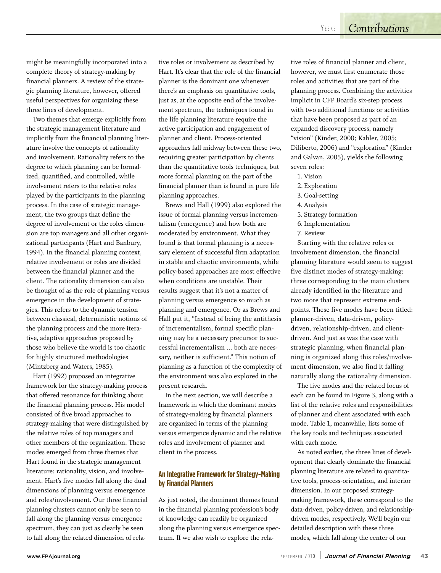might be meaningfully incorporated into a complete theory of strategy-making by financial planners. A review of the strategic planning literature, however, offered useful perspectives for organizing these three lines of development.

Two themes that emerge explicitly from the strategic management literature and implicitly from the financial planning literature involve the concepts of rationality and involvement. Rationality refers to the degree to which planning can be formalized, quantified, and controlled, while involvement refers to the relative roles played by the participants in the planning process. In the case of strategic management, the two groups that define the degree of involvement or the roles dimension are top managers and all other organizational participants (Hart and Banbury, 1994). In the financial planning context, relative involvement or roles are divided between the financial planner and the client. The rationality dimension can also be thought of as the role of planning versus emergence in the development of strategies. This refers to the dynamic tension between classical, deterministic notions of the planning process and the more iterative, adaptive approaches proposed by those who believe the world is too chaotic for highly structured methodologies (Mintzberg and Waters, 1985).

Hart (1992) proposed an integrative framework for the strategy-making process that offered resonance for thinking about the financial planning process. His model consisted of five broad approaches to strategy-making that were distinguished by the relative roles of top managers and other members of the organization. These modes emerged from three themes that Hart found in the strategic management literature: rationality, vision, and involvement. Hart's five modes fall along the dual dimensions of planning versus emergence and roles/involvement. Our three financial planning clusters cannot only be seen to fall along the planning versus emergence spectrum, they can just as clearly be seen to fall along the related dimension of relative roles or involvement as described by Hart. It's clear that the role of the financial planner is the dominant one whenever there's an emphasis on quantitative tools, just as, at the opposite end of the involvement spectrum, the techniques found in the life planning literature require the active participation and engagement of planner and client. Process-oriented approaches fall midway between these two, requiring greater participation by clients than the quantitative tools techniques, but more formal planning on the part of the financial planner than is found in pure life planning approaches.

Brews and Hall (1999) also explored the issue of formal planning versus incrementalism (emergence) and how both are moderated by environment. What they found is that formal planning is a necessary element of successful firm adaptation in stable and chaotic environments, while policy-based approaches are most effective when conditions are unstable. Their results suggest that it's not a matter of planning versus emergence so much as planning and emergence. Or as Brews and Hall put it, "Instead of being the antithesis of incrementalism, formal specific planning may be a necessary precursor to successful incrementalism ... both are necessary, neither is sufficient." This notion of planning as a function of the complexity of the environment was also explored in the present research.

In the next section, we will describe a framework in which the dominant modes of strategy-making by financial planners are organized in terms of the planning versus emergence dynamic and the relative roles and involvement of planner and client in the process.

## **An Integrative Framework for Strategy-Making by Financial Planners**

As just noted, the dominant themes found in the financial planning profession's body of knowledge can readily be organized along the planning versus emergence spectrum. If we also wish to explore the relative roles of financial planner and client, however, we must first enumerate those roles and activities that are part of the planning process. Combining the activities implicit in CFP Board's six-step process with two additional functions or activities that have been proposed as part of an expanded discovery process, namely "vision" (Kinder, 2000; Kahler, 2005; Diliberto, 2006) and "exploration" (Kinder and Galvan, 2005), yields the following seven roles:

- 1. Vision
- 2. Exploration
- 3. Goal-setting
- 4. Analysis
- 5. Strategy formation
- 6. Implementation
- 7. Review

Starting with the relative roles or involvement dimension, the financial planning literature would seem to suggest five distinct modes of strategy-making: three corresponding to the main clusters already identified in the literature and two more that represent extreme endpoints. These five modes have been titled: planner-driven, data-driven, policydriven, relationship-driven, and clientdriven. And just as was the case with strategic planning, when financial planning is organized along this roles/involvement dimension, we also find it falling naturally along the rationality dimension.

The five modes and the related focus of each can be found in Figure 3, along with a list of the relative roles and responsibilities of planner and client associated with each mode. Table 1, meanwhile, lists some of the key tools and techniques associated with each mode.

As noted earlier, the three lines of development that clearly dominate the financial planning literature are related to quantitative tools, process-orientation, and interior dimension. In our proposed strategymaking framework, these correspond to the data-driven, policy-driven, and relationshipdriven modes, respectively. We'll begin our detailed description with these three modes, which fall along the center of our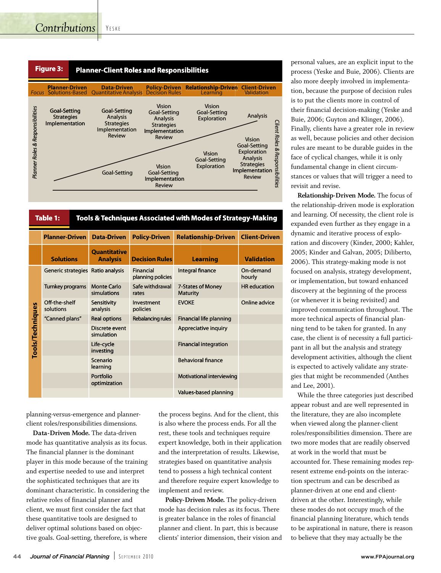## *Contributions*

YE S K E



| Table 1:<br>Tools & Techniques Associated with Modes of Strategy-Making |                            |                                        |                                |                                      |                      |
|-------------------------------------------------------------------------|----------------------------|----------------------------------------|--------------------------------|--------------------------------------|----------------------|
|                                                                         | <b>Planner-Driven</b>      | <b>Data-Driven</b>                     | <b>Policy-Driven</b>           | <b>Relationship-Driven</b>           | <b>Client-Driven</b> |
|                                                                         | <b>Solutions</b>           | <b>Quantitative</b><br><b>Analysis</b> | <b>Decision Rules</b>          | <b>Learning</b>                      | <b>Validation</b>    |
|                                                                         | <b>Generic strategies</b>  | Ratio analysis                         | Financial<br>planning policies | Integral finance                     | On-demand<br>hourly  |
|                                                                         | Turnkey programs           | <b>Monte Carlo</b><br>simulations      | Safe withdrawal<br>rates       | 7-States of Money<br><b>Maturity</b> | <b>HR</b> education  |
|                                                                         | Off-the-shelf<br>solutions | Sensitivity<br>analysis                | Investment<br>policies         | <b>EVOKE</b>                         | Online advice        |
|                                                                         | "Canned plans"             | <b>Real options</b>                    | Rebalancing rules              | <b>Financial life planning</b>       |                      |
| Tools/Techniques                                                        |                            | Discrete event<br>simulation           |                                | Appreciative inquiry                 |                      |
|                                                                         |                            | Life-cycle<br>investing                |                                | <b>Financial integration</b>         |                      |
|                                                                         |                            | Scenario<br>learning                   |                                | <b>Behavioral finance</b>            |                      |
|                                                                         |                            | Portfolio<br>optimization              |                                | Motivational interviewing            |                      |
|                                                                         |                            |                                        |                                | Values-based planning                |                      |

planning-versus-emergence and plannerclient roles/responsibilities dimensions.

**Data-Driven Mode.** The data-driven mode has quantitative analysis as its focus. The financial planner is the dominant player in this mode because of the training and expertise needed to use and interpret the sophisticated techniques that are its dominant characteristic. In considering the relative roles of financial planner and client, we must first consider the fact that these quantitative tools are designed to deliver optimal solutions based on objective goals. Goal-setting, therefore, is where

the process begins. And for the client, this is also where the process ends. For all the rest, these tools and techniques require expert knowledge, both in their application and the interpretation of results. Likewise, strategies based on quantitative analysis tend to possess a high technical content and therefore require expert knowledge to implement and review.

**Policy-Driven Mode.** The policy-driven mode has decision rules as its focus. There is greater balance in the roles of financial planner and client. In part, this is because clients' interior dimension, their vision and personal values, are an explicit input to the process (Yeske and Buie, 2006). Clients are also more deeply involved in implementation, because the purpose of decision rules is to put the clients more in control of their financial decision-making (Yeske and Buie, 2006; Guyton and Klinger, 2006). Finally, clients have a greater role in review as well, because policies and other decision rules are meant to be durable guides in the face of cyclical changes, while it is only fundamental change in client circumstances or values that will trigger a need to revisit and revise.

**Relationship-Driven Mode.** The focus of the relationship-driven mode is exploration and learning. Of necessity, the client role is expanded even further as they engage in a dynamic and iterative process of exploration and discovery (Kinder, 2000; Kahler, 2005; Kinder and Galvan, 2005; Diliberto, 2006). This strategy-making mode is not focused on analysis, strategy development, or implementation, but toward enhanced discovery at the beginning of the process (or whenever it is being revisited) and improved communication throughout. The more technical aspects of financial planning tend to be taken for granted. In any case, the client is of necessity a full participant in all but the analysis and strategy development activities, although the client is expected to actively validate any strategies that might be recommended (Anthes and Lee, 2001).

While the three categories just described appear robust and are well represented in the literature, they are also incomplete when viewed along the planner-client roles/responsibilities dimension. There are two more modes that are readily observed at work in the world that must be accounted for. These remaining modes represent extreme end-points on the interaction spectrum and can be described as planner-driven at one end and clientdriven at the other. Interestingly, while these modes do not occupy much of the financial planning literature, which tends to be aspirational in nature, there is reason to believe that they may actually be the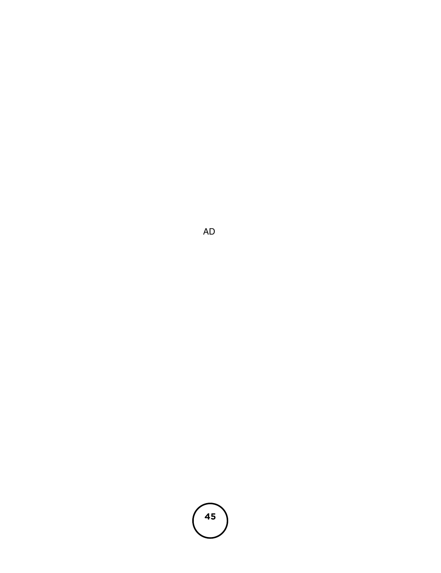

A D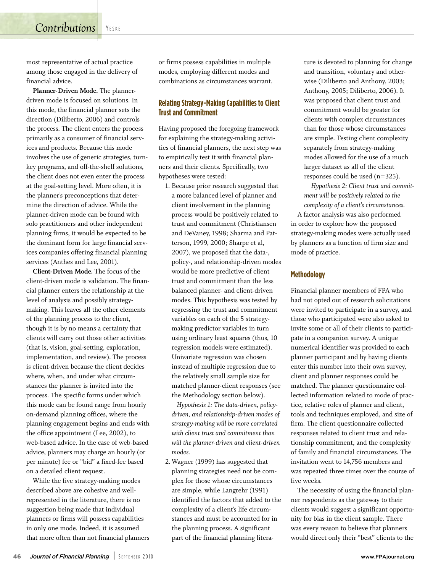**Contributions** YESKE

most representative of actual practice among those engaged in the delivery of financial advice.

**Planner-Driven Mode.** The plannerdriven mode is focused on solutions. In this mode, the financial planner sets the direction (Diliberto, 2006) and controls the process. The client enters the process primarily as a consumer of financial services and products. Because this mode involves the use of generic strategies, turnkey programs, and off-the-shelf solutions, the client does not even enter the process at the goal-setting level. More often, it is the planner's preconceptions that determine the direction of advice. While the planner-driven mode can be found with solo practitioners and other independent planning firms, it would be expected to be the dominant form for large financial services companies offering financial planning services (Anthes and Lee, 2001).

**Client-Driven Mode.** The focus of the client-driven mode is validation. The financial planner enters the relationship at the level of analysis and possibly strategymaking. This leaves all the other elements of the planning process to the client, though it is by no means a certainty that clients will carry out those other activities (that is, vision, goal-setting, exploration, implementation, and review). The process is client-driven because the client decides where, when, and under what circumstances the planner is invited into the process. The specific forms under which this mode can be found range from hourly on-demand planning offices, where the planning engagement begins and ends with the office appointment (Lee, 2002), to web-based advice. In the case of web-based advice, planners may charge an hourly (or per minute) fee or "bid" a fixed-fee based on a detailed client request.

While the five strategy-making modes described above are cohesive and wellrepresented in the literature, there is no suggestion being made that individual planners or firms will possess capabilities in only one mode. Indeed, it is assumed that more often than not financial planners or firms possess capabilities in multiple modes, employing different modes and combinations as circumstances warrant.

## **Relating Strategy-Making Capabilities to Client Trust and Commitment**

Having proposed the foregoing framework for explaining the strategy-making activities of financial planners, the next step was to empirically test it with financial planners and their clients. Specifically, two hypotheses were tested:

1. Because prior research suggested that a more balanced level of planner and client involvement in the planning process would be positively related to trust and commitment (Christiansen and DeVaney, 1998; Sharma and Patterson, 1999, 2000; Sharpe et al, 2007), we proposed that the data-, policy-, and relationship-driven modes would be more predictive of client trust and commitment than the less balanced planner- and client-driven modes. This hypothesis was tested by regressing the trust and commitment variables on each of the 5 strategymaking predictor variables in turn using ordinary least squares (thus, 10 regression models were estimated). Univariate regression was chosen instead of multiple regression due to the relatively small sample size for matched planner-client responses (see the Methodology section below).

*Hypothesis 1: The data-driven, policydriven, and relationship-driven modes of strategy-making will be more correlated with client trust and commitment than will the planner-driven and client-driven modes.*

2. Wagner (1999) has suggested that planning strategies need not be complex for those whose circumstances are simple, while Langrehr (1991) identified the factors that added to the complexity of a client's life circumstances and must be accounted for in the planning process. A significant part of the financial planning literature is devoted to planning for change and transition, voluntary and otherwise (Diliberto and Anthony, 2003; Anthony, 2005; Diliberto, 2006). It was proposed that client trust and commitment would be greater for clients with complex circumstances than for those whose circumstances are simple. Testing client complexity separately from strategy-making modes allowed for the use of a much larger dataset as all of the client responses could be used (n=325).

*Hypothesis 2: Client trust and commitment will be positively related to the complexity of a client's circumstances.*

A factor analysis was also performed in order to explore how the proposed strategy-making modes were actually used by planners as a function of firm size and mode of practice.

## **Methodology**

Financial planner members of FPA who had not opted out of research solicitations were invited to participate in a survey, and those who participated were also asked to invite some or all of their clients to participate in a companion survey. A unique numerical identifier was provided to each planner participant and by having clients enter this number into their own survey, client and planner responses could be matched. The planner questionnaire collected information related to mode of practice, relative roles of planner and client, tools and techniques employed, and size of firm. The client questionnaire collected responses related to client trust and relationship commitment, and the complexity of family and financial circumstances. The invitation went to 14,756 members and was repeated three times over the course of five weeks.

The necessity of using the financial planner respondents as the gateway to their clients would suggest a significant opportunity for bias in the client sample. There was every reason to believe that planners would direct only their "best" clients to the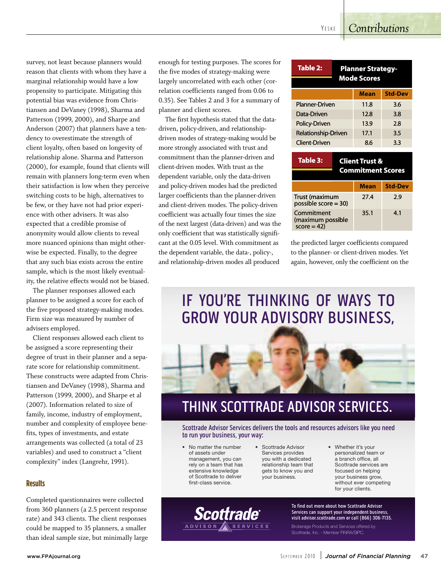## *Contributions* 10 *Questions*

survey, not least because planners would *Will the dollar remain the world's* survey, not least because planners would<br>reason that clients with whom they have a marginal relationship would have a low propensity to participate. Mitigating this potential bias was evidence from Christiansen and DeVaney (1998), Sharma and Patterson (1999, 2000), and Sharpe and Anderson (2007) that planners have a tendency to overestimate the strength of client loyalty, often based on longevity of relationship alone. Sharma and Patterson  $(2000)$ , for example, found that clients will remain with planners long-term even when their satisfaction is low when they perceive switching costs to be high, alternatives to be few, or they have not had prior experience with other advisers. It was also expected that a credible promise of anonymity would allow clients to reveal more nuanced opinions than might otherwise be expected. Finally, to the degree that any such bias exists across the entire and any such bias called across the entire<br>sample, which is the most likely eventualsample, which is the most likely eventual.<br>ity, the relative effects would not be biased.

ty, the relative effects would not be blased.<br>The planner responses allowed each The planner responses anowed each<br>planner to be assigned a score for each of planner to be assigned a secretion each of<br>the five proposed strategy-making modes. Firm size was measured by number of advisers employed.

Client responses allowed each client to be assigned a score representing their er usigned a receiver presenting mean<br>degree of trust in their planner and a separate score for relationship commitment. These constructs were adapted from Christiansen and DeVaney (1998), Sharma and Patterson (1999, 2000), and Sharpe et al Patterson (1999, 2000), and Sharpe et al<br>(2007). Information related to size of family, income, industry of employment, number and complexity of employee bene fits, types of investments, and estate  $\frac{1}{2}$  arrangements was collected (a total of 23 variables) and used to construct a "client complexity" index (Langrehr, 1991). Ì

#### **Results** realistic matter to matter the matter to believe the top of the top of the top of the top of the top of the to  $t_{\rm{tot}}$

Completed questionnaires were collected from 360 planners (a 2.5 percent response rate) and 343 clients. The client responses could be mapped to 35 planners, a smaller than ideal sample size, but minimally large

enough for testing purposes. The scores for the five modes of strategy-making were largely uncorrelated with each other (correlation coefficients ranged from 0.06 to 0.35). See Tables 2 and 3 for a summary of planner and client scores.

The first hypothesis stated that the datadriven, policy-driven, and relationshipdriven modes of strategy-making would be more strongly associated with trust and commitment than the planner-driven and client-driven modes. With trust as the dependent variable, only the data-driven and policy-driven modes had the predicted larger coefficients than the planner-driven and client-driven modes. The policy-driven coefficient was actually four times the size of the next largest (data-driven) and was the only coefficient that was statistically signifi-*And what are your clients most wor* omy coencient that was statistically significant at the 0.05 level. With commitment as the dependent variable, the data-, policy-, and relationship-driven modes all produced<br>and relationship-driven modes all produced  $\overline{\phantom{a}}$ 

| Table 2:<br><b>Planner Strategy-</b><br><b>Mode Scores</b> |  |             |                |  |
|------------------------------------------------------------|--|-------------|----------------|--|
|                                                            |  | <b>Mean</b> | <b>Std-Dev</b> |  |
| Planner-Driven                                             |  | 11.8        | 3.6            |  |
| Data-Driven                                                |  | 12.8        | 3.8            |  |
| Policy-Driven                                              |  | 13.9        | 28             |  |
| Relationship-Driven                                        |  | 17.1        | 3.5            |  |
| Client-Driven                                              |  | 8.6         | 3.3            |  |

| Table 3:                                        | <b>Client Trust &amp;</b><br><b>Commitment Scores</b> |             |                |  |
|-------------------------------------------------|-------------------------------------------------------|-------------|----------------|--|
|                                                 |                                                       | <b>Mean</b> | <b>Std-Dev</b> |  |
| <b>Trust (maximum</b><br>possible score $=$ 30) |                                                       | 27.4        | 2.9            |  |
| Commitment<br>(maximum possible<br>$score = 42$ |                                                       | 35.1        | 4.1            |  |

the predicted larger coefficients compared to the planner- or client-driven modes. Yet again, however, only the coefficient on the  $\ddot{\phantom{0}}$ 

## IF YOU'RE THINKING OF WAYS TO GROW YOUR ADVISORY BUSINESS,



## THINK SCOTTRADE ADVISOR SERVICES.

Scottrade Advisor Services delivers the tools and resources advisors like you need to run your business, your way:

• No matter the number of assets under management, you can rely on a team that has extensive knowledge of Scottrade to deliver first-class service.

Scottrade

- Scottrade Advisor Services provides you with a dedicated relationship team that gets to know you and your business.
- Whether it's your personalized team or a branch office, all Scottrade services are focused on helping your business grow, without ever competing for your clients.

To find out more about how Scottrade Advisor Services can support your independent business, visit advisor.scottrade.com or call (866) 306-7135.

Brokerage Products and Services offered by Scottrade, Inc. - Member FINRA/SIPC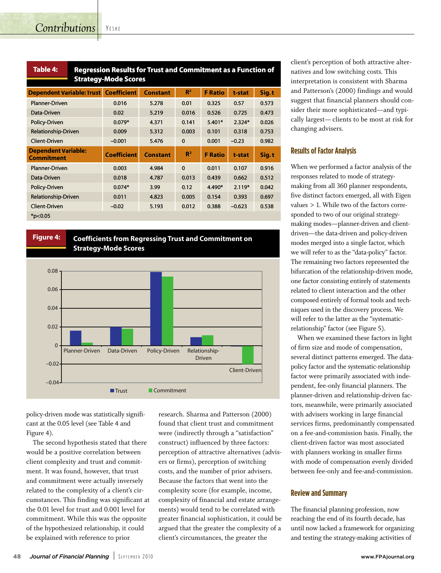**Table**

| <b>Table 4:</b>                                 |  | <b>Regression Results for Trust and Commitment as a Function of</b> |                 |                |                |          |       |
|-------------------------------------------------|--|---------------------------------------------------------------------|-----------------|----------------|----------------|----------|-------|
| <b>Strategy-Mode Scores</b>                     |  |                                                                     |                 |                |                |          |       |
| <b>Dependent Variable: Trust</b>                |  | <b>Coefficient</b>                                                  | <b>Constant</b> | R <sup>2</sup> | <b>F</b> Ratio | t-stat   | Sig.t |
| <b>Planner-Driven</b>                           |  | 0.016                                                               | 5.278           | 0.01           | 0.325          | 0.57     | 0.573 |
| Data-Driven                                     |  | 0.02                                                                | 5.219           | 0.016          | 0.526          | 0.725    | 0.473 |
| Policy-Driven                                   |  | $0.079*$                                                            | 4.371           | 0.141          | $5.401*$       | $2.324*$ | 0.026 |
| <b>Relationship-Driven</b>                      |  | 0.009                                                               | 5.312           | 0.003          | 0.101          | 0.318    | 0.753 |
| <b>Client-Driven</b>                            |  | $-0.001$                                                            | 5.476           | $\mathbf 0$    | 0.001          | $-0.23$  | 0.982 |
| <b>Dependent Variable:</b><br><b>Commitment</b> |  | <b>Coefficient</b>                                                  | <b>Constant</b> | R <sup>2</sup> | <b>F</b> Ratio | t-stat   | Sig.t |
| <b>Planner-Driven</b>                           |  | 0.003                                                               | 4.984           | $\mathbf{0}$   | 0.011          | 0.107    | 0.916 |
| Data-Driven                                     |  | 0.018                                                               | 4.787           | 0.013          | 0.439          | 0.662    | 0.512 |
| Policy-Driven                                   |  | $0.074*$                                                            | 3.99            | 0.12           | 4.490*         | $2.119*$ | 0.042 |
| Relationship-Driven                             |  | 0.011                                                               | 4.823           | 0.005          | 0.154          | 0.393    | 0.697 |
| <b>Client-Driven</b>                            |  | $-0.02$                                                             | 5.193           | 0.012          | 0.388          | $-0.623$ | 0.538 |
| $*p<0.05$                                       |  |                                                                     |                 |                |                |          |       |

## **Figure 4: Coefficients from Regressing Trust and Commitment on Strategy-Mode Scores**



policy-driven mode was statistically significant at the 0.05 level (see Table 4 and Figure 4).

The second hypothesis stated that there would be a positive correlation between client complexity and trust and commitment. It was found, however, that trust and commitment were actually inversely related to the complexity of a client's circumstances. This finding was significant at the 0.01 level for trust and 0.001 level for commitment. While this was the opposite of the hypothesized relationship, it could be explained with reference to prior

research. Sharma and Patterson (2000) found that client trust and commitment were (indirectly through a "satisfaction" construct) influenced by three factors: perception of attractive alternatives (advisers or firms), perception of switching costs, and the number of prior advisers. Because the factors that went into the complexity score (for example, income, complexity of financial and estate arrangements) would tend to be correlated with greater financial sophistication, it could be argued that the greater the complexity of a client's circumstances, the greater the

client's perception of both attractive alternatives and low switching costs. This interpretation is consistent with Sharma and Patterson's (2000) findings and would suggest that financial planners should consider their more sophisticated—and typically largest— clients to be most at risk for changing advisers.

## **Results of Factor Analysis**

When we performed a factor analysis of the responses related to mode of strategymaking from all 360 planner respondents, five distinct factors emerged, all with Eigen values > 1. While two of the factors corresponded to two of our original strategymaking modes—planner-driven and clientdriven—the data-driven and policy-driven modes merged into a single factor, which we will refer to as the "data-policy" factor. The remaining two factors represented the bifurcation of the relationship-driven mode, one factor consisting entirely of statements related to client interaction and the other composed entirely of formal tools and techniques used in the discovery process. We will refer to the latter as the "systematicrelationship" factor (see Figure 5).

When we examined these factors in light of firm size and mode of compensation, several distinct patterns emerged. The datapolicy factor and the systematic-relationship factor were primarily associated with independent, fee-only financial planners. The planner-driven and relationship-driven factors, meanwhile, were primarily associated with advisers working in large financial services firms, predominantly compensated on a fee-and-commission basis. Finally, the client-driven factor was most associated with planners working in smaller firms with mode of compensation evenly divided between fee-only and fee-and-commission.

## **Review and Summary**

The financial planning profession, now reaching the end of its fourth decade, has until now lacked a framework for organizing and testing the strategy-making activities of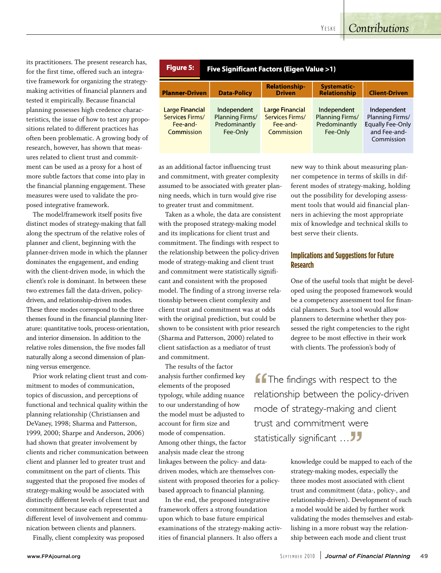YE S K E

## *Contributions*

its practitioners. The present research has, for the first time, offered such an integrative framework for organizing the strategymaking activities of financial planners and tested it empirically. Because financial planning possesses high credence characteristics, the issue of how to test any propositions related to different practices has often been problematic. A growing body of research, however, has shown that measures related to client trust and commitment can be used as a proxy for a host of more subtle factors that come into play in the financial planning engagement. These measures were used to validate the proposed integrative framework.

The model/framework itself posits five distinct modes of strategy-making that fall along the spectrum of the relative roles of planner and client, beginning with the planner-driven mode in which the planner dominates the engagement, and ending with the client-driven mode, in which the client's role is dominant. In between these two extremes fall the data-driven, policydriven, and relationship-driven modes. These three modes correspond to the three themes found in the financial planning literature: quantitative tools, process-orientation, and interior dimension. In addition to the relative roles dimension, the five modes fall naturally along a second dimension of planning versus emergence.

Prior work relating client trust and commitment to modes of communication, topics of discussion, and perceptions of functional and technical quality within the planning relationship (Christiansen and DeVaney, 1998; Sharma and Patterson, 1999, 2000; Sharpe and Anderson, 2006) had shown that greater involvement by clients and richer communication between client and planner led to greater trust and commitment on the part of clients. This suggested that the proposed five modes of strategy-making would be associated with distinctly different levels of client trust and commitment because each represented a different level of involvement and communication between clients and planners.

Finally, client complexity was proposed

| <b>Figure 5:</b><br>Five Significant Factors (Eigen Value >1)       |                                                             |                                                                     |                                                             |                                                                                         |  |  |
|---------------------------------------------------------------------|-------------------------------------------------------------|---------------------------------------------------------------------|-------------------------------------------------------------|-----------------------------------------------------------------------------------------|--|--|
| <b>Planner-Driven</b>                                               | <b>Data-Policy</b>                                          | <b>Relationship-</b><br><b>Driven</b>                               | <b>Systematic-</b><br><b>Relationship</b>                   | <b>Client-Driven</b>                                                                    |  |  |
| <b>Large Financial</b><br>Services Firms/<br>Fee-and-<br>Commission | Independent<br>Planning Firms/<br>Predominantly<br>Fee-Only | <b>Large Financial</b><br>Services Firms/<br>Fee-and-<br>Commission | Independent<br>Planning Firms/<br>Predominantly<br>Fee-Only | Independent<br>Planning Firms/<br><b>Equally Fee-Only</b><br>and Fee-and-<br>Commission |  |  |

as an additional factor influencing trust and commitment, with greater complexity assumed to be associated with greater planning needs, which in turn would give rise to greater trust and commitment.

Taken as a whole, the data are consistent with the proposed strategy-making model and its implications for client trust and commitment. The findings with respect to the relationship between the policy-driven mode of strategy-making and client trust and commitment were statistically significant and consistent with the proposed model. The finding of a strong inverse relationship between client complexity and client trust and commitment was at odds with the original prediction, but could be shown to be consistent with prior research (Sharma and Patterson, 2000) related to client satisfaction as a mediator of trust and commitment.

The results of the factor analysis further confirmed key elements of the proposed typology, while adding nuance to our understanding of how the model must be adjusted to account for firm size and mode of compensation. Among other things, the factor analysis made clear the strong linkages between the policy- and datadriven modes, which are themselves consistent with proposed theories for a policybased approach to financial planning.

In the end, the proposed integrative framework offers a strong foundation upon which to base future empirical examinations of the strategy-making activities of financial planners. It also offers a

new way to think about measuring planner competence in terms of skills in different modes of strategy-making, holding out the possibility for developing assessment tools that would aid financial planners in achieving the most appropriate mix of knowledge and technical skills to best serve their clients.

## **Implications and Suggestions for Future Research**

One of the useful tools that might be developed using the proposed framework would be a competency assessment tool for financial planners. Such a tool would allow planners to determine whether they possessed the right competencies to the right degree to be most effective in their work with clients. The profession's body of

**f f** The findings with respect to the relationship between the policy-driven **f** The findings with respect to the mode of strategy-making and client trust and commitment were statistically significant … **JJ**<br>"""

knowledge could be mapped to each of the strategy-making modes, especially the three modes most associated with client trust and commitment (data-, policy-, and relationship-driven). Development of such a model would be aided by further work validating the modes themselves and establishing in a more robust way the relationship between each mode and client trust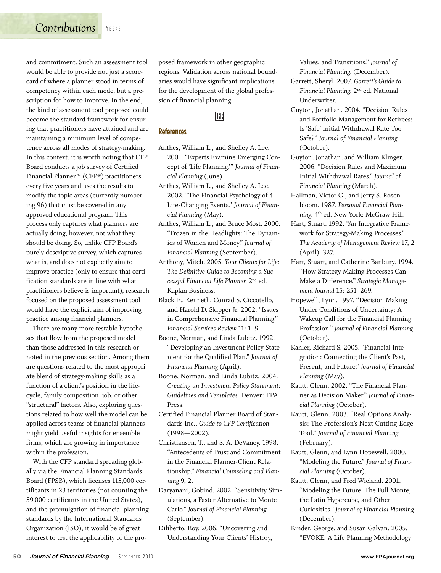## **Contributions** YESKE

and commitment. Such an assessment tool would be able to provide not just a scorecard of where a planner stood in terms of competency within each mode, but a prescription for how to improve. In the end, the kind of assessment tool proposed could become the standard framework for ensuring that practitioners have attained and are maintaining a minimum level of competence across all modes of strategy-making. In this context, it is worth noting that CFP Board conducts a job survey of Certified Financial Planner™ (CFP®) practitioners every five years and uses the results to modify the topic areas (currently numbering 96) that must be covered in any approved educational program. This process only captures what planners are actually doing, however, not what they should be doing. So, unlike CFP Board's purely descriptive survey, which captures what is, and does not explicitly aim to improve practice (only to ensure that certification standards are in line with what practitioners believe is important), research focused on the proposed assessment tool would have the explicit aim of improving practice among financial planners.

There are many more testable hypotheses that flow from the proposed model than those addressed in this research or noted in the previous section. Among them are questions related to the most appropriate blend of strategy-making skills as a function of a client's position in the lifecycle, family composition, job, or other "structural" factors. Also, exploring questions related to how well the model can be applied across teams of financial planners might yield useful insights for ensemble firms, which are growing in importance within the profession.

With the CFP standard spreading globally via the Financial Planning Standards Board (FPSB), which licenses 115,000 certificants in 23 territories (not counting the 59,000 certificants in the United States), and the promulgation of financial planning standards by the International Standards Organization (ISO), it would be of great interest to test the applicability of the proposed framework in other geographic regions. Validation across national boundaries would have significant implications for the development of the global profession of financial planning.

## UP.

## **References**

- Anthes, William L., and Shelley A. Lee. 2001. "Experts Examine Emerging Concept of 'Life Planning.'" *Journal of Financial Planning* (June).
- Anthes, William L., and Shelley A. Lee. 2002. "The Financial Psychology of 4 Life-Changing Events." *Journal of Financial Planning* (May).
- Anthes, William L., and Bruce Most. 2000. "Frozen in the Headlights: The Dynamics of Women and Money." *Journal of Financial Planning* (September).
- Anthony, Mitch. 2005. *Your Clients for Life: The Definitive Guide to Becoming a Successful Financial Life Planner.* 2nd ed. Kaplan Business.
- Black Jr., Kenneth, Conrad S. Ciccotello, and Harold D. Skipper Jr. 2002. "Issues in Comprehensive Financial Planning." *Financial Services Review* 11: 1–9.
- Boone, Norman, and Linda Lubitz. 1992. "Developing an Investment Policy Statement for the Qualified Plan." *Journal of Financial Planning* (April).
- Boone, Norman, and Linda Lubitz. 2004. *Creating an Investment Policy Statement: Guidelines and Templates.* Denver: FPA Press.
- Certified Financial Planner Board of Standards Inc., *Guide to CFP Certification* (1998—2002).
- Christiansen, T., and S. A. DeVaney. 1998. "Antecedents of Trust and Commitment in the Financial Planner-Client Relationship." *Financial Counseling and Planning* 9, 2.
- Daryanani, Gobind. 2002. "Sensitivity Simulations, a Faster Alternative to Monte Carlo." *Journal of Financial Planning* (September).
- Diliberto, Roy. 2006. "Uncovering and Understanding Your Clients' History,

Values, and Transitions." *Journal of Financial Planning.* (December).

- Garrett, Sheryl. 2007. *Garrett's Guide to Financial Planning.* 2nd ed. National Underwriter.
- Guyton, Jonathan. 2004. "Decision Rules and Portfolio Management for Retirees: Is 'Safe' Initial Withdrawal Rate Too Safe?" *Journal of Financial Planning* (October).
- Guyton, Jonathan, and William Klinger. 2006. "Decision Rules and Maximum Initial Withdrawal Rates." *Journal of Financial Planning* (March).
- Hallman, Victor G., and Jerry S. Rosenbloom. 1987. *Personal Financial Planning.* 4th ed. New York: McGraw Hill.
- Hart, Stuart. 1992. "An Integrative Framework for Strategy-Making Processes." *The Academy of Management Review* 17, 2 (April): 327.
- Hart, Stuart, and Catherine Banbury. 1994. "How Strategy-Making Processes Can Make a Difference." *Strategic Management Journal* 15: 251–269.
- Hopewell, Lynn. 1997. "Decision Making Under Conditions of Uncertainty: A Wakeup Call for the Financial Planning Profession." *Journal of Financial Planning* (October).
- Kahler, Richard S. 2005. "Financial Integration: Connecting the Client's Past, Present, and Future." *Journal of Financial Planning* (May).
- Kautt, Glenn. 2002. "The Financial Planner as Decision Maker." *Journal of Financial Planning* (October).
- Kautt, Glenn. 2003. "Real Options Analysis: The Profession's Next Cutting-Edge Tool." *Journal of Financial Planning* (February).
- Kautt, Glenn, and Lynn Hopewell. 2000. "Modeling the Future." *Journal of Financial Planning* (October).
- Kautt, Glenn, and Fred Wieland. 2001. "Modeling the Future: The Full Monte, the Latin Hypercube, and Other Curiosities." *Journal of Financial Planning* (December).
- Kinder, George, and Susan Galvan. 2005. "EVOKE: A Life Planning Methodology